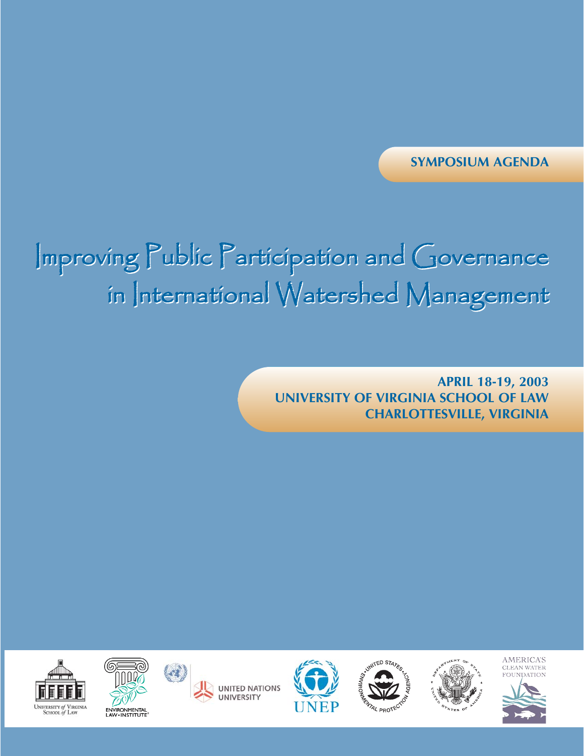**SYMPOSIUM AGENDA**

# Improving Public Participation and Governance Improving Public Participation and Governance in International Watershed Management in International Watershed Management

**APRIL 18-19, 2003 UNIVERSITY OF VIRGINIA SCHOOL OF LAW CHARLOTTESVILLE, VIRGINIA**





Ø











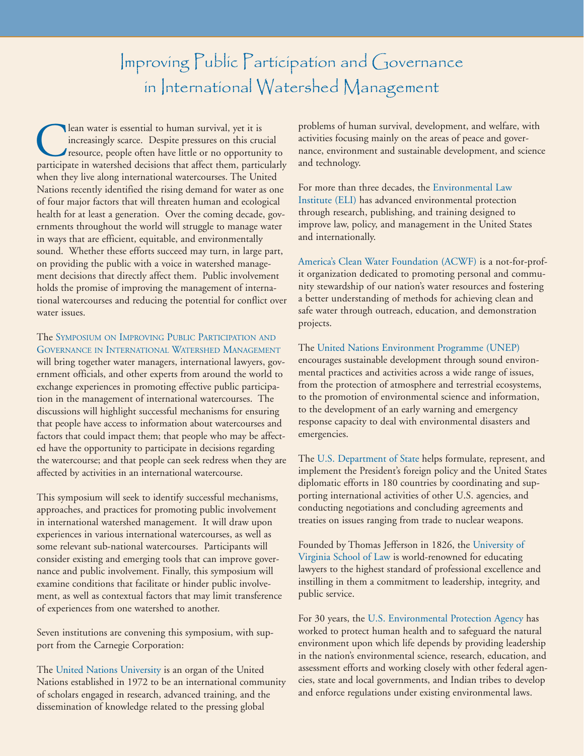# Improving Public Participation and Governance in International Watershed Management

**C** lean water is essential to human survival, yet it is increasingly scarce. Despite pressures on this crue<br>resource, people often have little or no opportun<br>participate in watershed decisions that affect them, partic increasingly scarce. Despite pressures on this crucial resource, people often have little or no opportunity to participate in watershed decisions that affect them, particularly when they live along international watercourses. The United Nations recently identified the rising demand for water as one of four major factors that will threaten human and ecological health for at least a generation. Over the coming decade, governments throughout the world will struggle to manage water in ways that are efficient, equitable, and environmentally sound. Whether these efforts succeed may turn, in large part, on providing the public with a voice in watershed management decisions that directly affect them. Public involvement holds the promise of improving the management of international watercourses and reducing the potential for conflict over water issues.

The SYMPOSIUM ON IMPROVING PUBLIC PARTICIPATION AND GOVERNANCE IN INTERNATIONAL WATERSHED MANAGEMENT

will bring together water managers, international lawyers, government officials, and other experts from around the world to exchange experiences in promoting effective public participation in the management of international watercourses. The discussions will highlight successful mechanisms for ensuring that people have access to information about watercourses and factors that could impact them; that people who may be affected have the opportunity to participate in decisions regarding the watercourse; and that people can seek redress when they are affected by activities in an international watercourse.

This symposium will seek to identify successful mechanisms, approaches, and practices for promoting public involvement in international watershed management. It will draw upon experiences in various international watercourses, as well as some relevant sub-national watercourses. Participants will consider existing and emerging tools that can improve governance and public involvement. Finally, this symposium will examine conditions that facilitate or hinder public involvement, as well as contextual factors that may limit transference of experiences from one watershed to another.

Seven institutions are convening this symposium, with support from the Carnegie Corporation:

The United Nations University is an organ of the United Nations established in 1972 to be an international community of scholars engaged in research, advanced training, and the dissemination of knowledge related to the pressing global

problems of human survival, development, and welfare, with activities focusing mainly on the areas of peace and governance, environment and sustainable development, and science and technology.

For more than three decades, the Environmental Law Institute (ELI) has advanced environmental protection through research, publishing, and training designed to improve law, policy, and management in the United States and internationally.

America's Clean Water Foundation (ACWF) is a not-for-profit organization dedicated to promoting personal and community stewardship of our nation's water resources and fostering a better understanding of methods for achieving clean and safe water through outreach, education, and demonstration projects.

#### The United Nations Environment Programme (UNEP)

encourages sustainable development through sound environmental practices and activities across a wide range of issues, from the protection of atmosphere and terrestrial ecosystems, to the promotion of environmental science and information, to the development of an early warning and emergency response capacity to deal with environmental disasters and emergencies.

The U.S. Department of State helps formulate, represent, and implement the President's foreign policy and the United States diplomatic efforts in 180 countries by coordinating and supporting international activities of other U.S. agencies, and conducting negotiations and concluding agreements and treaties on issues ranging from trade to nuclear weapons.

Founded by Thomas Jefferson in 1826, the University of Virginia School of Law is world-renowned for educating lawyers to the highest standard of professional excellence and instilling in them a commitment to leadership, integrity, and public service.

For 30 years, the U.S. Environmental Protection Agency has worked to protect human health and to safeguard the natural environment upon which life depends by providing leadership in the nation's environmental science, research, education, and assessment efforts and working closely with other federal agencies, state and local governments, and Indian tribes to develop and enforce regulations under existing environmental laws.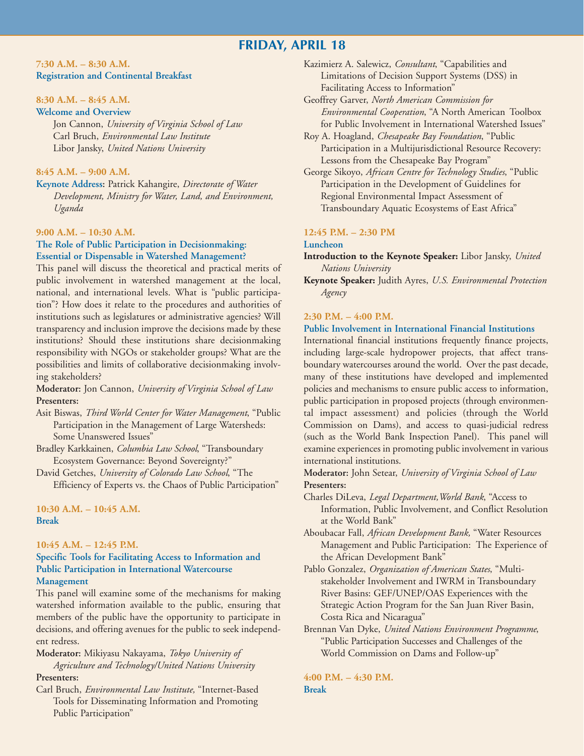# **FRIDAY, APRIL 18**

#### **7:30 A.M. – 8:30 A.M. Registration and Continental Breakfast**

# **8:30 A.M. – 8:45 A.M.**

#### **Welcome and Overview**

Jon Cannon, *University of Virginia School of Law* Carl Bruch, *Environmental Law Institute* Libor Jansky, *United Nations University*

#### **8:45 A.M. – 9:00 A.M.**

**Keynote Address:** Patrick Kahangire, *Directorate of Water Development, Ministry for Water, Land, and Environment, Uganda* 

#### **9:00 A.M. – 10:30 A.M.**

#### **The Role of Public Participation in Decisionmaking: Essential or Dispensable in Watershed Management?**

This panel will discuss the theoretical and practical merits of public involvement in watershed management at the local, national, and international levels. What is "public participation"? How does it relate to the procedures and authorities of institutions such as legislatures or administrative agencies? Will transparency and inclusion improve the decisions made by these institutions? Should these institutions share decisionmaking responsibility with NGOs or stakeholder groups? What are the possibilities and limits of collaborative decisionmaking involving stakeholders?

# **Moderator:** Jon Cannon, *University of Virginia School of Law* **Presenters:**

Asit Biswas, *Third World Center for Water Management*, "Public Participation in the Management of Large Watersheds: Some Unanswered Issues"

Bradley Karkkainen, *Columbia Law School*, "Transboundary Ecosystem Governance: Beyond Sovereignty?"

David Getches, *University of Colorado Law School*, "The Efficiency of Experts vs. the Chaos of Public Participation"

**10:30 A.M. – 10:45 A.M. Break**

#### **10:45 A.M. – 12:45 P.M.**

#### **Specific Tools for Facilitating Access to Information and Public Participation in International Watercourse Management**

This panel will examine some of the mechanisms for making watershed information available to the public, ensuring that members of the public have the opportunity to participate in decisions, and offering avenues for the public to seek independent redress.

**Moderator:** Mikiyasu Nakayama, *Tokyo University of Agriculture and Technology/United Nations University* **Presenters:**

Carl Bruch, *Environmental Law Institute,* "Internet-Based Tools for Disseminating Information and Promoting Public Participation"

Kazimierz A. Salewicz, *Consultant*, "Capabilities and Limitations of Decision Support Systems (DSS) in Facilitating Access to Information"

Geoffrey Garver, *North American Commission for Environmental Cooperation*, "A North American Toolbox for Public Involvement in International Watershed Issues"

Roy A. Hoagland, *Chesapeake Bay Foundation*, "Public Participation in a Multijurisdictional Resource Recovery: Lessons from the Chesapeake Bay Program"

George Sikoyo, *African Centre for Technology Studies*, "Public Participation in the Development of Guidelines for Regional Environmental Impact Assessment of Transboundary Aquatic Ecosystems of East Africa"

#### **12:45 P.M. – 2:30 PM**

#### **Luncheon**

- **Introduction to the Keynote Speaker:** Libor Jansky, *United Nations University*
- **Keynote Speaker:** Judith Ayres, *U.S. Environmental Protection Agency*

#### **2:30 P.M. – 4:00 P.M.**

#### **Public Involvement in International Financial Institutions**

International financial institutions frequently finance projects, including large-scale hydropower projects, that affect transboundary watercourses around the world. Over the past decade, many of these institutions have developed and implemented policies and mechanisms to ensure public access to information, public participation in proposed projects (through environmental impact assessment) and policies (through the World Commission on Dams), and access to quasi-judicial redress (such as the World Bank Inspection Panel). This panel will examine experiences in promoting public involvement in various international institutions.

# **Moderator:** John Setear, *University of Virginia School of Law*  **Presenters:**

Charles DiLeva, *Legal Department,World Bank*, "Access to Information, Public Involvement, and Conflict Resolution at the World Bank"

Aboubacar Fall, *African Development Bank,* "Water Resources Management and Public Participation: The Experience of the African Development Bank"

Pablo Gonzalez, *Organization of American States*, "Multistakeholder Involvement and IWRM in Transboundary River Basins: GEF/UNEP/OAS Experiences with the Strategic Action Program for the San Juan River Basin, Costa Rica and Nicaragua"

Brennan Van Dyke, *United Nations Environment Programme*, "Public Participation Successes and Challenges of the World Commission on Dams and Follow-up"

#### **4:00 P.M. – 4:30 P.M. Break**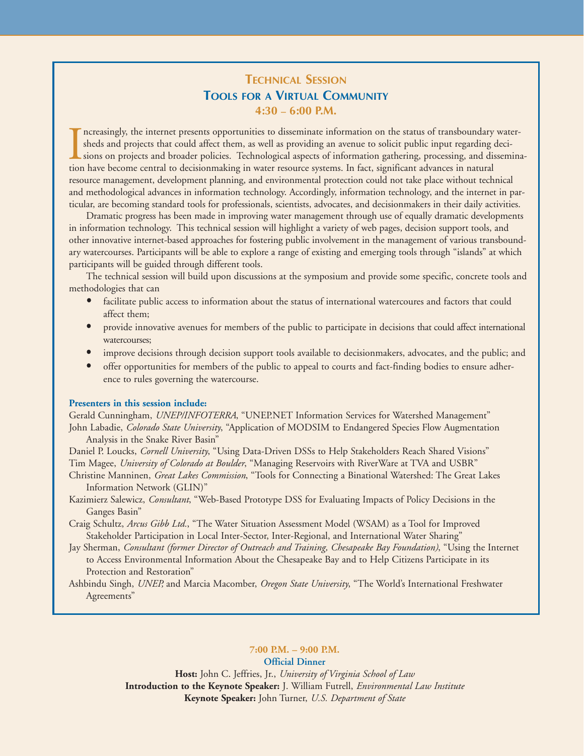# **TECHNICAL SESSION TOOLS FOR A VIRTUAL COMMUNITY 4:30 – 6:00 P.M.**

Increasingly, the internet presents opportunities to disseminate information on the status of transboundary sheds and projects that could affect them, as well as providing an avenue to solicit public input regarding sions ncreasingly, the internet presents opportunities to disseminate information on the status of transboundary watersheds and projects that could affect them, as well as providing an avenue to solicit public input regarding decisions on projects and broader policies. Technological aspects of information gathering, processing, and disseminaresource management, development planning, and environmental protection could not take place without technical and methodological advances in information technology. Accordingly, information technology, and the internet in particular, are becoming standard tools for professionals, scientists, advocates, and decisionmakers in their daily activities.

Dramatic progress has been made in improving water management through use of equally dramatic developments in information technology. This technical session will highlight a variety of web pages, decision support tools, and other innovative internet-based approaches for fostering public involvement in the management of various transboundary watercourses. Participants will be able to explore a range of existing and emerging tools through "islands" at which participants will be guided through different tools.

The technical session will build upon discussions at the symposium and provide some specific, concrete tools and methodologies that can

- facilitate public access to information about the status of international watercoures and factors that could affect them;
- provide innovative avenues for members of the public to participate in decisions that could affect international watercourses;
- improve decisions through decision support tools available to decisionmakers, advocates, and the public; and
- offer opportunities for members of the public to appeal to courts and fact-finding bodies to ensure adherence to rules governing the watercourse.

#### **Presenters in this session include:**

Gerald Cunningham, *UNEP/INFOTERRA*, "UNEP.NET Information Services for Watershed Management" John Labadie, *Colorado State University*, "Application of MODSIM to Endangered Species Flow Augmentation Analysis in the Snake River Basin"

Daniel P. Loucks, *Cornell University*, "Using Data-Driven DSSs to Help Stakeholders Reach Shared Visions" Tim Magee, *University of Colorado at Boulder*, "Managing Reservoirs with RiverWare at TVA and USBR"

Christine Manninen, *Great Lakes Commission*, "Tools for Connecting a Binational Watershed: The Great Lakes Information Network (GLIN)"

Kazimierz Salewicz, *Consultant*, "Web-Based Prototype DSS for Evaluating Impacts of Policy Decisions in the Ganges Basin"

Craig Schultz, *Arcus Gibb Ltd.*, "The Water Situation Assessment Model (WSAM) as a Tool for Improved Stakeholder Participation in Local Inter-Sector, Inter-Regional, and International Water Sharing"

Jay Sherman, *Consultant (former Director of Outreach and Training, Chesapeake Bay Foundation)*, "Using the Internet to Access Environmental Information About the Chesapeake Bay and to Help Citizens Participate in its Protection and Restoration"

Ashbindu Singh, *UNEP,* and Marcia Macomber, *Oregon State University*, "The World's International Freshwater Agreements"

#### **7:00 P.M. – 9:00 P.M. Official Dinner**

**Host:** John C. Jeffries, Jr., *University of Virginia School of Law* **Introduction to the Keynote Speaker:** J. William Futrell, *Environmental Law Institute* **Keynote Speaker:** John Turner, *U.S. Department of State*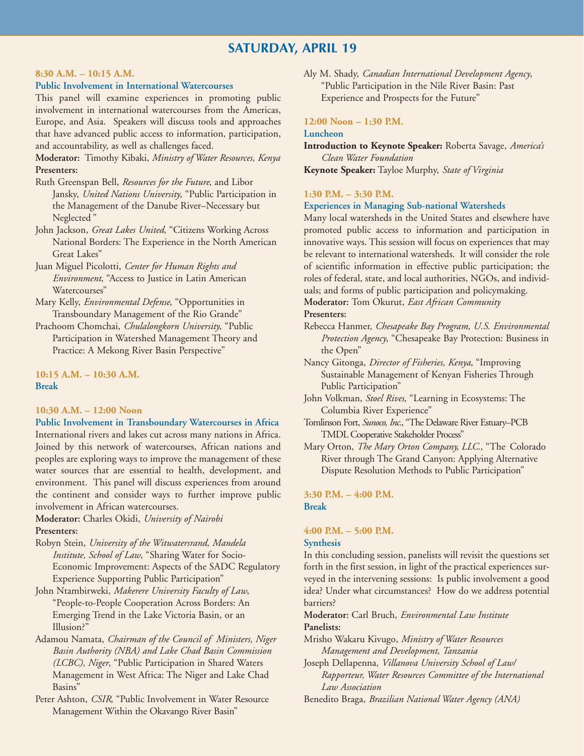# **SATURDAY, APRIL 19**

#### **8:30 A.M. – 10:15 A.M.**

#### **Public Involvement in International Watercourses**

This panel will examine experiences in promoting public involvement in international watercourses from the Americas, Europe, and Asia. Speakers will discuss tools and approaches that have advanced public access to information, participation, and accountability, as well as challenges faced.

**Moderator:** Timothy Kibaki, *Ministry of Water Resources, Kenya* **Presenters:** 

- Ruth Greenspan Bell, *Resources for the Future*, and Libor Jansky, *United Nations University*, "Public Participation in the Management of the Danube River–Necessary but Neglected*"*
- John Jackson, *Great Lakes United*, "Citizens Working Across National Borders: The Experience in the North American Great Lakes"
- Juan Miguel Picolotti, *Center for Human Rights and Environment*, "Access to Justice in Latin American Watercourses"
- Mary Kelly, *Environmental Defense*, "Opportunities in Transboundary Management of the Rio Grande"
- Prachoom Chomchai, *Chulalongkorn University*, "Public Participation in Watershed Management Theory and Practice: A Mekong River Basin Perspective"

**10:15 A.M. – 10:30 A.M. Break**

# **10:30 A.M. – 12:00 Noon**

**Public Involvement in Transboundary Watercourses in Africa**

International rivers and lakes cut across many nations in Africa. Joined by this network of watercourses, African nations and peoples are exploring ways to improve the management of these water sources that are essential to health, development, and environment. This panel will discuss experiences from around the continent and consider ways to further improve public involvement in African watercourses.

# **Moderator:** Charles Okidi, *University of Nairobi* **Presenters:**

Robyn Stein, *University of the Witwatersrand, Mandela Institute, School of Law*, "Sharing Water for Socio-Economic Improvement: Aspects of the SADC Regulatory Experience Supporting Public Participation"

John Ntambirweki, *Makerere University Faculty of Law*, "People-to-People Cooperation Across Borders: An Emerging Trend in the Lake Victoria Basin, or an Illusion?"

Adamou Namata, *Chairman of the Council of Ministers, Niger Basin Authority (NBA) and Lake Chad Basin Commission (LCBC), Niger*, "Public Participation in Shared Waters Management in West Africa: The Niger and Lake Chad Basins"

Peter Ashton, *CSIR*, "Public Involvement in Water Resource Management Within the Okavango River Basin"

Aly M. Shady, *Canadian International Development Agency*, "Public Participation in the Nile River Basin: Past Experience and Prospects for the Future"

# **12:00 Noon – 1:30 P.M.**

#### **Luncheon**

**Introduction to Keynote Speaker:** Roberta Savage, *America's Clean Water Foundation*

**Keynote Speaker:** Tayloe Murphy, *State of Virginia*

# **1:30 P.M. – 3:30 P.M.**

# **Experiences in Managing Sub-national Watersheds**

Many local watersheds in the United States and elsewhere have promoted public access to information and participation in innovative ways. This session will focus on experiences that may be relevant to international watersheds. It will consider the role of scientific information in effective public participation; the roles of federal, state, and local authorities, NGOs, and individuals; and forms of public participation and policymaking. **Moderator:** Tom Okurut, *East African Community*

**Presenters:**

Rebecca Hanmer, *Chesapeake Bay Program, U.S. Environmental Protection Agency*, "Chesapeake Bay Protection: Business in the Open"

Nancy Gitonga, *Director of Fisheries, Kenya,* "Improving Sustainable Management of Kenyan Fisheries Through Public Participation"

- John Volkman, *Stoel Rives*, "Learning in Ecosystems: The Columbia River Experience"
- Tomlinson Fort, *Sunoco, Inc.*, "The Delaware River Estuary–PCB TMDL Cooperative Stakeholder Process"
- Mary Orton, *The Mary Orton Company, LLC.*, "The Colorado River through The Grand Canyon: Applying Alternative Dispute Resolution Methods to Public Participation"

**3:30 P.M. – 4:00 P.M. Break**

# **4:00 P.M. – 5:00 P.M.**

# **Synthesis**

In this concluding session, panelists will revisit the questions set forth in the first session, in light of the practical experiences surveyed in the intervening sessions: Is public involvement a good idea? Under what circumstances? How do we address potential barriers?

**Moderator:** Carl Bruch, *Environmental Law Institute* **Panelists:**

Mrisho Wakaru Kivugo, *Ministry of Water Resources Management and Development, Tanzania* 

Joseph Dellapenna, *Villanova University School of Law/ Rapporteur, Water Resources Committee of the International Law Association*

Benedito Braga, *Brazilian National Water Agency (ANA)*